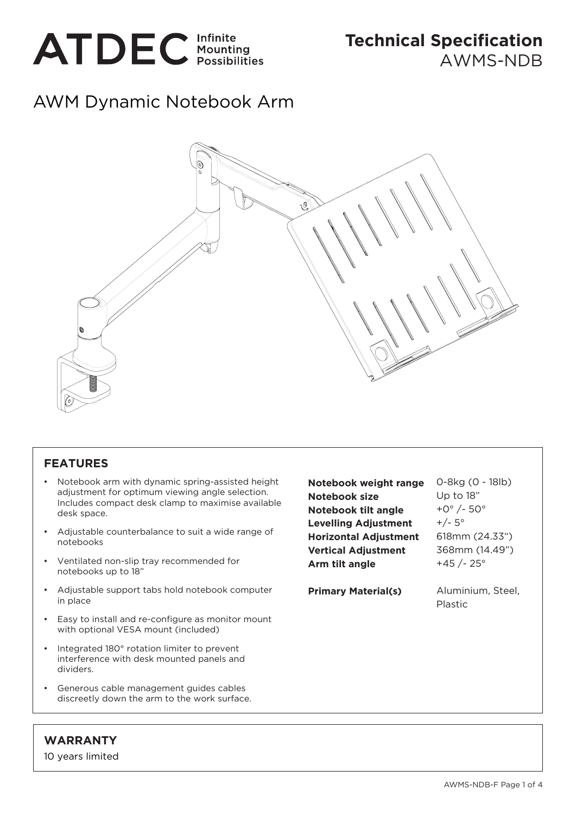

## AWM Dynamic Notebook Arm



## **FEATURES**

- Notebook arm with dynamic spring-assisted height adjustment for optimum viewing angle selection. Includes compact desk clamp to maximise available desk space.
- Adjustable counterbalance to suit a wide range of notebooks
- Ventilated non-slip tray recommended for notebooks up to 18"
- Adjustable support tabs hold notebook computer in place
- Easy to install and re-configure as monitor mount with optional VESA mount (included)
- Integrated 180° rotation limiter to prevent interference with desk mounted panels and dividers.
- Generous cable management guides cables discreetly down the arm to the work surface.

**Notebook weight range Notebook size Notebook tilt angle Levelling Adjustment Horizontal Adjustment Vertical Adjustment Arm tilt angle**

0-8kg (0 - 18lb) Up to 18" +0° /- 50°  $+/- 5^{\circ}$ 618mm (24.33") 368mm (14.49") +45 /- 25°

**Primary Material(s)**

Aluminium, Steel, Plastic

## **WARRANTY**

10 years limited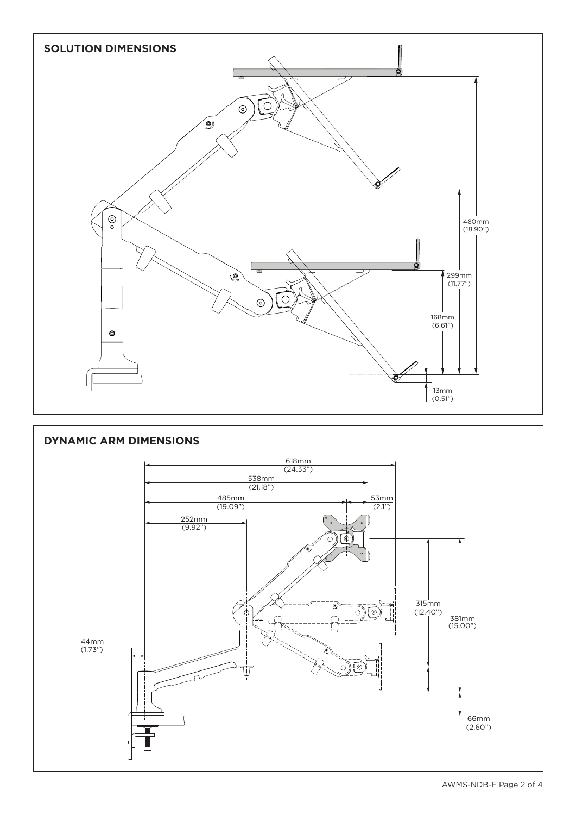

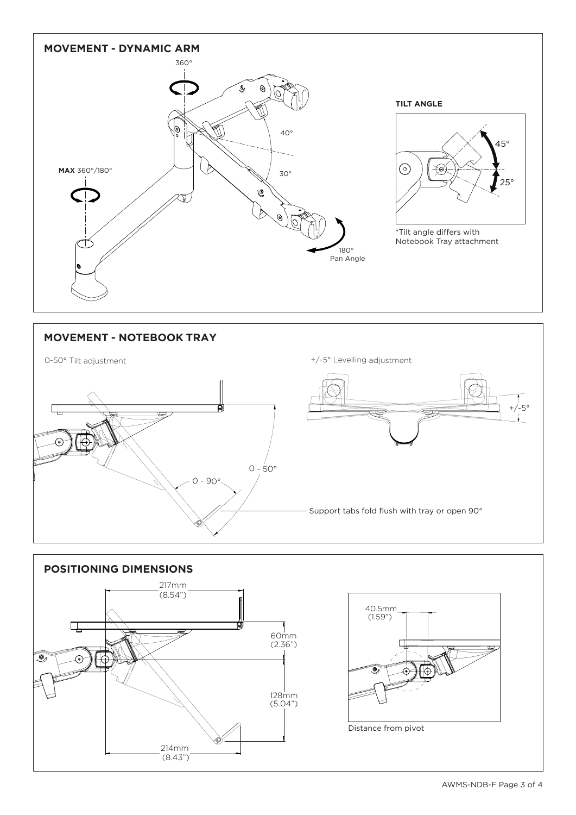